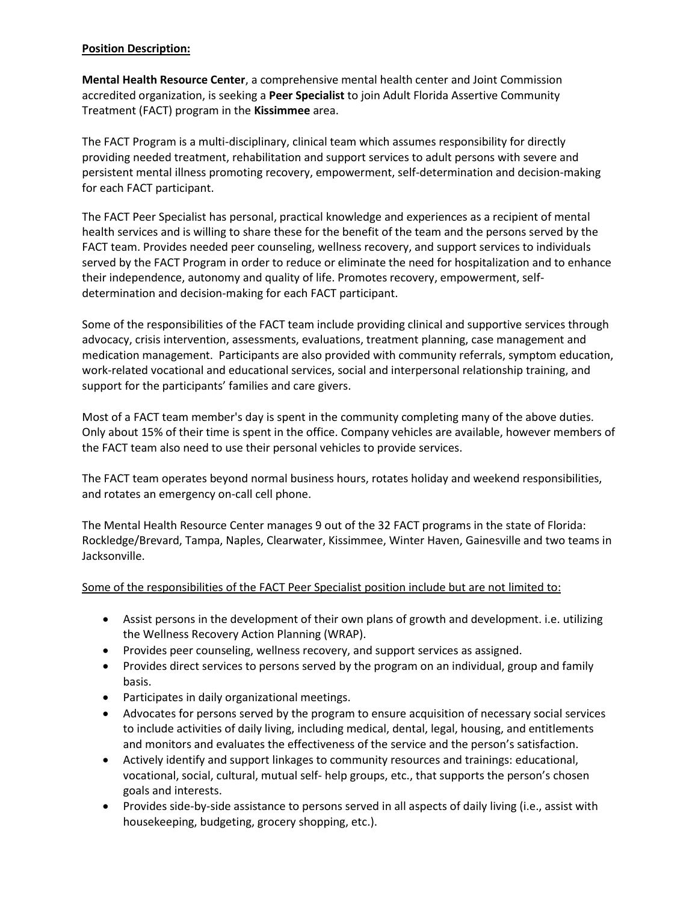## **Position Description:**

**Mental Health Resource Center**, a comprehensive mental health center and Joint Commission accredited organization, is seeking a **Peer Specialist** to join Adult Florida Assertive Community Treatment (FACT) program in the **Kissimmee** area.

The FACT Program is a multi-disciplinary, clinical team which assumes responsibility for directly providing needed treatment, rehabilitation and support services to adult persons with severe and persistent mental illness promoting recovery, empowerment, self-determination and decision-making for each FACT participant.

The FACT Peer Specialist has personal, practical knowledge and experiences as a recipient of mental health services and is willing to share these for the benefit of the team and the persons served by the FACT team. Provides needed peer counseling, wellness recovery, and support services to individuals served by the FACT Program in order to reduce or eliminate the need for hospitalization and to enhance their independence, autonomy and quality of life. Promotes recovery, empowerment, selfdetermination and decision-making for each FACT participant.

Some of the responsibilities of the FACT team include providing clinical and supportive services through advocacy, crisis intervention, assessments, evaluations, treatment planning, case management and medication management. Participants are also provided with community referrals, symptom education, work-related vocational and educational services, social and interpersonal relationship training, and support for the participants' families and care givers.

Most of a FACT team member's day is spent in the community completing many of the above duties. Only about 15% of their time is spent in the office. Company vehicles are available, however members of the FACT team also need to use their personal vehicles to provide services.

The FACT team operates beyond normal business hours, rotates holiday and weekend responsibilities, and rotates an emergency on-call cell phone.

The Mental Health Resource Center manages 9 out of the 32 FACT programs in the state of Florida: Rockledge/Brevard, Tampa, Naples, Clearwater, Kissimmee, Winter Haven, Gainesville and two teams in Jacksonville.

# Some of the responsibilities of the FACT Peer Specialist position include but are not limited to:

- Assist persons in the development of their own plans of growth and development. i.e. utilizing the Wellness Recovery Action Planning (WRAP).
- Provides peer counseling, wellness recovery, and support services as assigned.
- Provides direct services to persons served by the program on an individual, group and family basis.
- Participates in daily organizational meetings.
- Advocates for persons served by the program to ensure acquisition of necessary social services to include activities of daily living, including medical, dental, legal, housing, and entitlements and monitors and evaluates the effectiveness of the service and the person's satisfaction.
- Actively identify and support linkages to community resources and trainings: educational, vocational, social, cultural, mutual self- help groups, etc., that supports the person's chosen goals and interests.
- Provides side-by-side assistance to persons served in all aspects of daily living (i.e., assist with housekeeping, budgeting, grocery shopping, etc.).